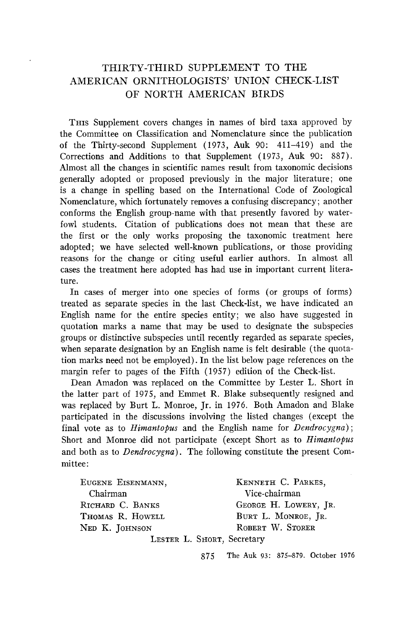## **THIRTY-THIRD SUPPLEMENT TO THE AMERICAN ORNITHOLOGISTS' UNION CHECK-LIST OF NORTH AMERICAN BIRDS**

**Tins Supplement covers changes in names of bird taxa approved by the Committee on Classification and Nomenclature since the publication of the Thirty-second Supplement (1973, Auk 90: 411-419) and the Corrections and Additions to that Supplement (1973, Auk 90: 887). Almost all the changes in scientific names result from taxonomic decisions generally adopted or proposed previously in the major literature; one is a change in spelling based on the International Code of Zoological Nomenclature, which fortunately removes a confusing discrepancy; another conforms the English group-name with that presently favored by waterfowl students. Citation of publications does not mean that these are the first or the only works proposing the taxonomic treatment here adopted; we have selected well-known publications, or those providing reasons for the change or citing useful earlier authors. In almost all cases the treatment here adopted has had use in important current literature.** 

**In cases of merger into one species of forms (or groups of forms) treated as separate species in the last Check-list, we have indicated an English name for the entire species entity; we also have suggested in quotation marks a name that may be used to designate the subspecies groups or distinctive subspecies until recently regarded as separate species, when separate designation by an English name is felt desirable (the quotation marks need not be employed). In the list below page references on the margin refer to pages of the Fifth (1957) edition of the Check-list.** 

**Dean Amadon was replaced on the Committee by Lester L. Short in the latter part of 1975, and Emmet R. Blake subsequently resigned and was replaced by Burt L. Monroe, Jr. in 1976. Both Amadon and Blake participated in the discussions involving the listed changes (except the final vote as to Himantopus and the English name for Dendrocygna); Short and Monroe did not participate (except Short as to Himantopus and both as to Dendrocygna). The following constitute the present Committee:** 

| EUGENE EISENMANN,          | KENNETH C. PARKES.    |
|----------------------------|-----------------------|
| Chairman                   | Vice-chairman         |
| RICHARD C. BANKS           | GEORGE H. LOWERY, JR. |
| Thomas R. Howell           | BURT L. MONROE, JR.   |
| Ned K. JOHNSON             | ROBERT W. STORER      |
| LESTER L. SHORT, Secretary |                       |

**875 The Auk 93: 875-879. October 1976**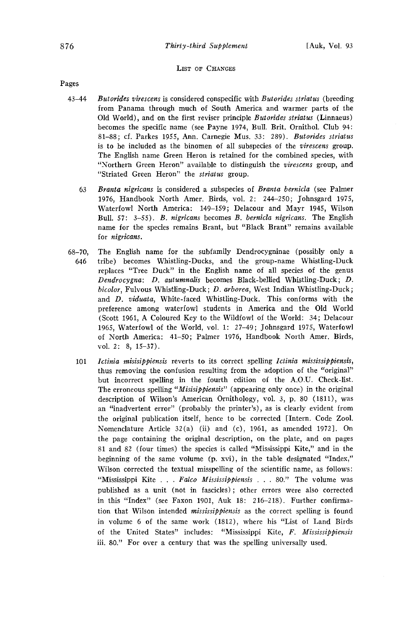## LIST OF CHANGES

**Pages** 

- **43-44 Butorides virescens is considered conspecific with Butorides striatus (breeding from Panama through much of South America and warmer parts of the**  Old World), and on the first reviser principle Butorides striatus (Linnaeus) **becomes the specific name (see Payne 1974, Bull. Brit. Ornithol. Club 94: 81-88; cf. Parkes 1955, Ann. Carnegie Mus. 33: 289). Butorides striatus is to be included as the binomen of all subspecies of the virescens group. The English name Green Heron is retained for the combined species, with "Northern Green Heron" available to distinguish the virescens group, and "Striated Green Heron" the striatus group.** 
	- **63**  Branta nigricans is considered a subspecies of Branta bernicla (see Palmer **1976, Handbook North Amer. Birds, vol. 2: 244-250; Johnsgard 1975, Waterfowl North America: 149-159; Delacour and Mayr 1945, Wilson Bull. 57: 3-55). B. nigricans becomes B. bernicla nigricans. The English name for the species remains Brant, but "Black Brant" remains available for nigricans.**
- **68-70, 646 The English name for the subfamily Dendrocygninae (possibly only a tribe) becomes Whistling-Ducks, and the group-name Whistling-Duck replaces "Tree Duck" in the English name of all species of the genus Dendrocygna: D. autumnalis becomes Black-bellied Whistling-Duck; D. bicolor, Fulvous Whistling-Duck; D. arborea, West Indian Whistling-Duck; and D. viduata, White-faced Whistling-Duck. This conforms with the preference among waterfowl students in America and the Old World (Scott 1961, A Coloured Key to the Wildfowl of the World: 34; Delacour 1965, Waterfowl of the World, vol. 1: 27-49; Johnsgard 1975, Waterfowl of North America: 41-50; Palmer 1976, Handbook North Amer. Birds, vol. 2: 8, 15-37).** 
	- **101**  Ictinia misisippiensis reverts to its correct spelling Ictinia mississippiensis, **thus removing the confusion resulting from the adoption of the "original" but incorrect spelling in the fourth edition of the A.O.U. Check-list. The erroneous spelling "Misisippiensis" (appearing only once) in the original description of Wilson's American Ornithology, vol. 3, p. 80 (1811), was an "inadvertent error" (probably the printer's), as is clearly evident from the original publication itself, hence to be corrected [Intern. Code Zool. Nomenclature Article 32(a) (ii) and (c), 1961, as amended 1972]. On the page containing the original description, on the plate, and on pages 81 and 82 (four times) the species is called "Mississippi Kite," and in the beginning of the same volume (p. xvi), in the table designated "Index," Wilson corrected the textual misspelling of the scientific name, as follows: "Mississippi Kite . . . Falco Mississippiensis . . . 80." The volume was published as a unit (not in fascicles); other errors were also corrected in this "Index" (see Faxon 1901, Auk 18: 216-218). Further confirmation that Wilson intended mississippiensis as the correct spelling is found in volume 6 of the same work (1812), where his "List of Land Birds of the United States" includes: "Mississippi Kite, F. Mississippiensis iii. 80." For over a century that was the spelling universally used.**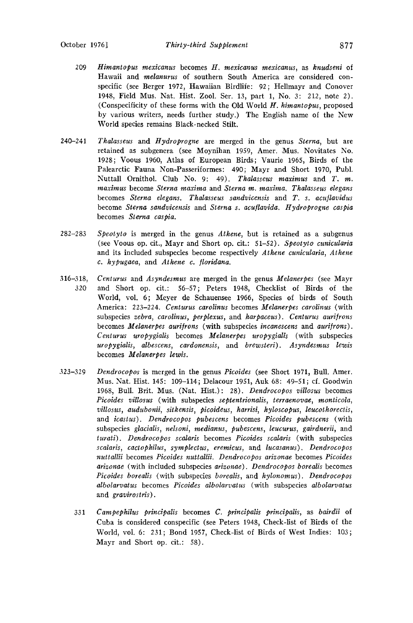- 209 Himantopus mexicanus becomes H. mexicanus mexicanus, as knudseni of **Hawaii and melanurus of southern South America are considered conspecific (see Berger 1972• Hawaiian Birdlife: 92; Hellmayr and Conover 1948, Field Mus. Nat. Hist. Zool. Ser. 13• part 1, No. 3: 212, note 2). (Conspecificity of these forms with the Old World H. himantopus, proposed by various writers, needs further study.) The English name of the New World species remains Black-necked Stilt.**
- **240-241 Thalasseus and Hydroprogne are merged in the genus Sterna, but are**  retained as subgenera (see Moynihan 1959, Amer. Mus. Novitates No. **1928; Voous 1960, Atlas of European Birds; Vaurie 1965, Birds of the Palearctic Fauna Non-Passeriformes: 490; Mayr and Short 1970, Publ. Nuttall Ornithol. Club No. 9: 49). Thalasseus maximus and T. m. maximus become Sterna maxima and Sterna m. maxima. Thalasseus elegans**  becomes Sterna elegans. Thalasseus sandvicensis and T. s. acuflavidus become Sterna sandvicensis and Sterna s. acuflavida. Hydroprogne caspia **becomes Sterna caspia.**
- **282-283 Speotyto is merged in the genus Athene, but is retained as a subgenus (see Voous op. cit., Mayr and Short op. cit.: 51-52). Speotyto cunicularia and its included subspecies become respectively Athene cunicularia, Athene**  c. hypugaea, and Athene c. *floridana*.
- **316-318, 320 Centurus and Asyndesmus are merged in the genus Melanerpes (see Mayr and Short op. cit.: 56-57; Peters 1948, Checklist of Birds of the World, vol. 6; Meyer de Schauensee 1966• Species of birds of South America: 223-224. Centurus carolinus becomes Melanerpes carolinus (with**  subspecies zebra, carolinus, perplexus, and harpaceus). Centurus aurifrons becomes *Melanerpes aurifrons* (with subspecies *incanescens* and *aurifrons*). **Centurus uropygialis becomes Melanerpes uropygiaIis (with subspecies uropygialis, albescens, cardonensis, and brewsteri). Asyndesmus lewis becomes Melanerpes lewis.**
- **323-329 Dendrocopos is merged in the genus Picoides (see Short 1971• Bull. Amer. Mus. Nat. Hist. 145: 109-114; Delacour 1951• Auk 68: 49-51; cf. Goodwin 1968, Bull. Brit. Mus. (Nat. Hist.): 28). Dendrocopos villosus becomes Picoides villosus (with subspecies septentrionalis, terraenovae, monticola,**  villosus, audubonii, sitkensis, picoideus, harrisi, hyloscopus, leucothorectis, **and icastus). Dendrocopos pubescens becomes Picoides pubescens (with subspecies glacialis, nelsoni, medianus, pubescens, leucurus, gairdnerii, and turati). Dendrocopos scalaris becomes Picoides scalaris (with subspecies scalaris, cactophilus, symplectus, eremicus, and lucasanus). Dendrocopos nuttallii becomes Picoides nuttallii. Dendrocopos arizonae becomes Picoides arizonae (with included subspecies arizonae). Dendrocopos borealis becomes Picoides borealis (with subspecies borealis, and hylonomus). Dendrocopos albolarvatus becomes Picoides albolarvatus (with subspecies albolarvatus**  and gravirostris).
	- **331 Campephilus principalis becomes C. principalis principalis, as bairdii of Cuba is considered conspecific (see Peters 1948, Check-list of Birds of the World, vol. 6: 231; Bond 1957, Check-list of Birds of West Indies: 103; Mayr and Short op. cit.: 58).**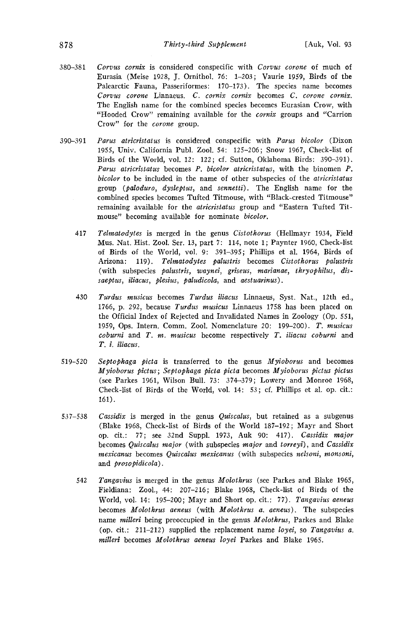- **380-381 Corvus cornix is considered conspecific with Corvus corone of much of Eurasia (Meise 1928, J. Ornithol. 76: 1-203; Vaurie 1959, Birds of the Palearctic Fauna, Passeriformes: 170-173). The species name becomes Corvus corone Linnaeus. C. cornix cornix becomes C. corone cornix. The English name for the combined species becomes Eurasian Crow, with "Hooded Crow" remaining available for the cornix groups and "Carrion Crow" for the corone group.**
- **390-391**  Parus atricristatus is considered conspecific with Parus bicolor (Dixon **1955, Univ. California Publ. Zool. 54: 125-206; Snow 1967, Check-list of Birds of the World, vol. 12: 122; cf. Sutton, Oklahoma Birds: 390-391).**  Parus atricristatus becomes P. bicolor atricristatus, with the binomen P. **bi½olor to be included in the name of other subspecies of the atricristatus group (paloduro, dysleptus, and sennetti). The English name for the combined species becomes Tufted Titmouse, with "Black-crested Titmouse" remaining available for the atricristatus group and "Eastern Tufted Titmouse" becoming available for nominate bicolor.** 
	- **417 Telmatodytes is merged in the genus Cistothorus (Hellmayr 1934, Field Mus. Nat. Hist. Zool. Sec. 13, part 7: 114, note 1; Paynter 1960, Check-list of Birds of the World, vol. 9: 391-395; Phillips et al. 1964, Birds of Arizona: 119). Telmatodytes palustris becomes Cistothorus palustris (with subspecies palustris, waynei, griseus, marianae, thryophilus, dissaeptus, iliacus, plesius, paludicola, and aestuarinus).**
	- **430 Turdus musicus becomes Turdus iliacus Linnaeus, Syst. Nat., 12th ed., 1766, p. 292, because Turdus musicus Linnaeus 1758 has been placed on**  the Official Index of Rejected and Invalidated Names in Zoology (Op. 551, **1959, Ops. Intern. Comm. Zool. Nomenclature 20: 199-200). T. musicus coburni and T. m. musicus become respectively T. iliacus coburni and T. i. iliacus.**
- **519-520 Septophaga picta is transferred to the genus Myioborus and becomes Myioborus pictus ; Septophaga plcta picta becomes Myioborus pictus pictus (see Parkes 1961, Wilson Bull. 73: 374-379; Lowery and Monroe 1968, Check-list of Birds of the World, vol. 14: 53; cf. Phillips et al. op. cit.: 161).**
- **537-538**  Cassidix is merged in the genus Quiscalus, but retained as a subgenus **(Blake 1968, Check-list of Birds of the World 187-192; Mayr and Short op. cit.: 77; see 32nd Suppl. 1973, Auk 90: 417). Cassldix major**  becomes *Quiscalus major* (with subspecies *major* and *torreyi*), and *Cassidix* **mexicanus becomes Quiscalus mexicanus (with subspecies nelsoni, monsoni, and prosopidicola).** 
	- **542 Tangavius is merged in the genus Molothrus (see Parkes and Blake 1965, Fieldiana: Zool., 44: 207-216; Blake 1968, Check-list of Birds of the**  World, vol. 14: 195-200; Mayr and Short op. cit.: 77). Tangavius aeneus becomes Molothrus aeneus (with Molothrus a. aeneus). The subspecies **name milleri being preoccupied in the genus Molothrus, Parkes and Blake (op. cit.: 211-212) supplied the replacement name loyei, so Tangavius a. milleri becomes Molothrus aencus loyei Parkes and Blake 1965.**